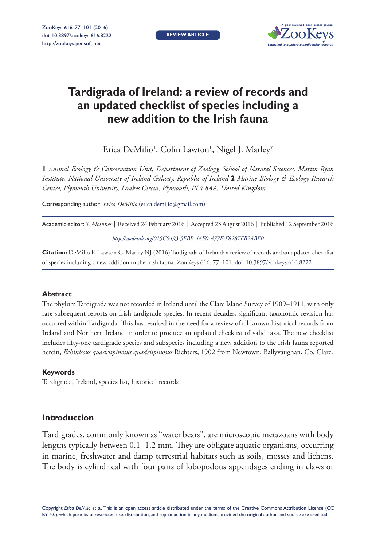**REVIEW ARTICLE**



# **Tardigrada of Ireland: a review of records and an updated checklist of species including a new addition to the Irish fauna**

Erica DeMilio<sup>1</sup>, Colin Lawton<sup>1</sup>, Nigel J. Marley<sup>2</sup>

**1** *Animal Ecology & Conservation Unit, Department of Zoology, School of Natural Sciences, Martin Ryan Institute, National University of Ireland Galway, Republic of Ireland* **2** *Marine Biology & Ecology Research Centre, Plymouth University, Drakes Circus, Plymouth, PL4 8AA, United Kingdom*

Corresponding author: *Erica DeMilio* [\(erica.demilio@gmail.com](mailto:erica.demilio@gmail.com))

| Academic editor: S. McInnes   Received 24 February 2016   Accepted 23 August 2016   Published 12 September 2016 |  |
|-----------------------------------------------------------------------------------------------------------------|--|
| http://zoobank.org/015C6493-5EBB-4AE0-A77E-F8287EB2ABE0                                                         |  |

**Citation:** DeMilio E, Lawton C, Marley NJ (2016) Tardigrada of Ireland: a review of records and an updated checklist of species including a new addition to the Irish fauna. ZooKeys 616: 77–101. [doi: 10.3897/zookeys.616.8222](http://dx.doi.org/10.3897/zookeys.616.8222)

# **Abstract**

The phylum Tardigrada was not recorded in Ireland until the Clare Island Survey of 1909–1911, with only rare subsequent reports on Irish tardigrade species. In recent decades, significant taxonomic revision has occurred within Tardigrada. This has resulted in the need for a review of all known historical records from Ireland and Northern Ireland in order to produce an updated checklist of valid taxa. The new checklist includes fifty-one tardigrade species and subspecies including a new addition to the Irish fauna reported herein, *Echiniscus quadrispinosus quadrispinosus* Richters, 1902 from Newtown, Ballyvaughan, Co. Clare.

# **Keywords**

Tardigrada, Ireland, species list, historical records

# **Introduction**

Tardigrades, commonly known as "water bears", are microscopic metazoans with body lengths typically between 0.1–1.2 mm. They are obligate aquatic organisms, occurring in marine, freshwater and damp terrestrial habitats such as soils, mosses and lichens. The body is cylindrical with four pairs of lobopodous appendages ending in claws or

Copyright *Erica DeMilio et al.* This is an open access article distributed under the terms of the [Creative Commons Attribution License \(CC](http://creativecommons.org/licenses/by/4.0/)  [BY 4.0\)](http://creativecommons.org/licenses/by/4.0/), which permits unrestricted use, distribution, and reproduction in any medium, provided the original author and source are credited.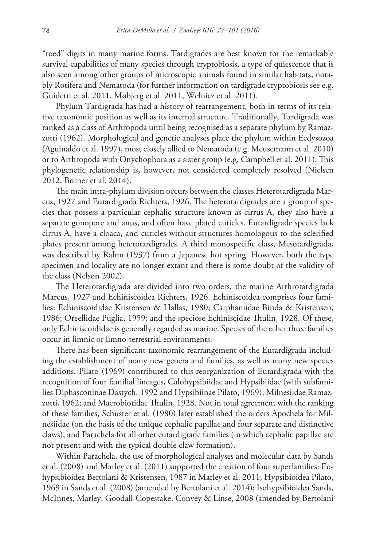"toed" digits in many marine forms. Tardigrades are best known for the remarkable survival capabilities of many species through cryptobiosis, a type of quiescence that is also seen among other groups of microscopic animals found in similar habitats, notably Rotifera and Nematoda (for further information on tardigrade cryptobiosis see e.g. Guidetti et al. 2011, Møbjerg et al. 2011, Wełnicz et al. 2011).

Phylum Tardigrada has had a history of rearrangement, both in terms of its relative taxonomic position as well as its internal structure. Traditionally, Tardigrada was ranked as a class of Arthropoda until being recognised as a separate phylum by Ramazzotti (1962). Morphological and genetic analyses place the phylum within Ecdysozoa (Aguinaldo et al. 1997), most closely allied to Nematoda (e.g. Meusemann et al. 2010) or to Arthropoda with Onychophora as a sister group (e.g. Campbell et al. 2011). This phylogenetic relationship is, however, not considered completely resolved (Nielsen 2012, Borner et al. 2014).

The main intra-phylum division occurs between the classes Heterotardigrada Marcus, 1927 and Eutardigrada Richters, 1926. The heterotardigrades are a group of species that possess a particular cephalic structure known as cirrus A, they also have a separate gonopore and anus, and often have plated cuticles. Eutardigrade species lack cirrus A, have a cloaca, and cuticles without structures homologous to the sclerified plates present among heterotardigrades. A third monospecific class, Mesotardigrada, was described by Rahm (1937) from a Japanese hot spring. However, both the type specimen and locality are no longer extant and there is some doubt of the validity of the class (Nelson 2002).

The Heterotardigrada are divided into two orders, the marine Arthrotardigrada Marcus, 1927 and Echiniscoidea Richters, 1926. Echiniscoidea comprises four families: Echiniscoididae Kristensen & Hallas, 1980; Carphaniidae Binda & Kristensen, 1986; Oreellidae Puglia, 1959; and the speciose Echiniscidae Thulin, 1928. Of these, only Echiniscoididae is generally regarded as marine. Species of the other three families occur in limnic or limno-terrestrial environments.

There has been significant taxonomic rearrangement of the Eutardigrada including the establishment of many new genera and families, as well as many new species additions. Pilato (1969) contributed to this reorganization of Eutardigrada with the recognition of four familial lineages, Calohypsibiidae and Hypsibiidae (with subfamilies Diphasconinae Dastych, 1992 and Hypsibiinae Pilato, 1969); Milnesiidae Ramazzotti, 1962; and Macrobiotidae Thulin, 1928. Not in total agreement with the ranking of these families, Schuster et al. (1980) later established the orders Apochela for Milnesiidae (on the basis of the unique cephalic papillae and four separate and distinctive claws), and Parachela for all other eutardigrade families (in which cephalic papillae are not present and with the typical double claw formation).

Within Parachela, the use of morphological analyses and molecular data by Sands et al. (2008) and Marley et al. (2011) supported the creation of four superfamilies: Eohypsibioidea Bertolani & Kristensen, 1987 in Marley et al. 2011; Hypsibioidea Pilato, 1969 in Sands et al. (2008) (amended by Bertolani et al. 2014); Isohypsibioidea Sands, McInnes, Marley, Goodall-Copestake, Convey & Linse, 2008 (amended by Bertolani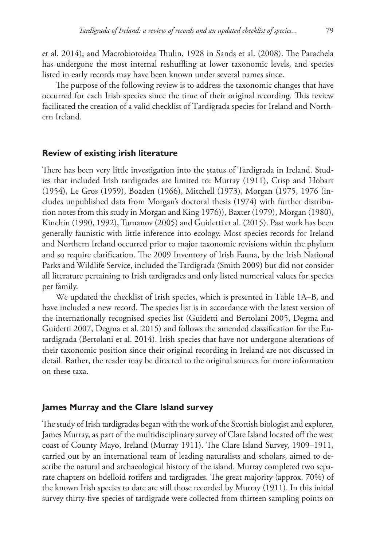et al. 2014); and Macrobiotoidea Thulin, 1928 in Sands et al. (2008). The Parachela has undergone the most internal reshuffling at lower taxonomic levels, and species listed in early records may have been known under several names since.

The purpose of the following review is to address the taxonomic changes that have occurred for each Irish species since the time of their original recording. This review facilitated the creation of a valid checklist of Tardigrada species for Ireland and Northern Ireland.

## **Review of existing irish literature**

There has been very little investigation into the status of Tardigrada in Ireland. Studies that included Irish tardigrades are limited to: Murray (1911), Crisp and Hobart (1954), Le Gros (1959), Boaden (1966), Mitchell (1973), Morgan (1975, 1976 (includes unpublished data from Morgan's doctoral thesis (1974) with further distribution notes from this study in Morgan and King 1976)), Baxter (1979), Morgan (1980), Kinchin (1990, 1992), Tumanov (2005) and Guidetti et al. (2015). Past work has been generally faunistic with little inference into ecology. Most species records for Ireland and Northern Ireland occurred prior to major taxonomic revisions within the phylum and so require clarification. The 2009 Inventory of Irish Fauna, by the Irish National Parks and Wildlife Service, included the Tardigrada (Smith 2009) but did not consider all literature pertaining to Irish tardigrades and only listed numerical values for species per family.

We updated the checklist of Irish species, which is presented in Table 1A–B, and have included a new record. The species list is in accordance with the latest version of the internationally recognised species list (Guidetti and Bertolani 2005, Degma and Guidetti 2007, Degma et al. 2015) and follows the amended classification for the Eutardigrada (Bertolani et al. 2014). Irish species that have not undergone alterations of their taxonomic position since their original recording in Ireland are not discussed in detail. Rather, the reader may be directed to the original sources for more information on these taxa.

# **James Murray and the Clare Island survey**

The study of Irish tardigrades began with the work of the Scottish biologist and explorer, James Murray, as part of the multidisciplinary survey of Clare Island located off the west coast of County Mayo, Ireland (Murray 1911). The Clare Island Survey, 1909–1911, carried out by an international team of leading naturalists and scholars, aimed to describe the natural and archaeological history of the island. Murray completed two separate chapters on bdelloid rotifers and tardigrades. The great majority (approx. 70%) of the known Irish species to date are still those recorded by Murray (1911). In this initial survey thirty-five species of tardigrade were collected from thirteen sampling points on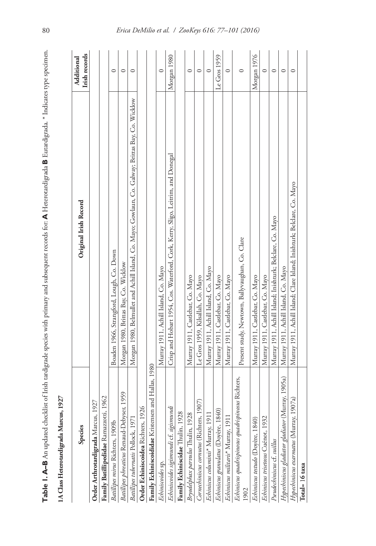|                                                            | Table 1. A–B An updated checklist of Irish tardigrade species with primary and subsequent records for: A Heterotardigrada B Eutardigrada. * Indicates type specimen. |                             |
|------------------------------------------------------------|----------------------------------------------------------------------------------------------------------------------------------------------------------------------|-----------------------------|
| 927<br>1A Class Heterotardigrada Marcus, 1                 |                                                                                                                                                                      |                             |
| Species                                                    | Original Irish Record                                                                                                                                                | Irish records<br>Additional |
| Order Arthrotardigrada Marcus, 1927                        |                                                                                                                                                                      |                             |
| 962<br>Family Batillipedidae Ramazzotti,                   |                                                                                                                                                                      |                             |
| Batillipes mirus Richters, 1909b                           | Boaden 1966, Strangford, Lough, Co. Down                                                                                                                             | $\circ$                     |
| 1959<br>Batillipes phreaticus Renaud-Debyser,              | Morgan 1980, Brittas Bay, Co. Wicklow                                                                                                                                | $\circ$                     |
| Batillipes tubernatis Pollock, 1971                        | Morgan 1980, Belmullet and Achill Island, Co. Mayo; Gowlaun, Co. Galway; Brittas Bay, Co. Widdow                                                                     | $\circ$                     |
| Order Echiniscoidea Richters, 1926                         |                                                                                                                                                                      |                             |
| and Hallas, 1980<br>Family Echiniscoididae Kristensen      |                                                                                                                                                                      |                             |
| Echiniscoides sp.                                          | Murray 1911, Achill Island, Co. Mayo                                                                                                                                 | $\circ$                     |
| Echiniscoides sigismundi cf. sigismund                     | Crisp and Hobart 1954, Cos. Waterford, Cork, Kerry, Sligo, Leitrim, and Donegal                                                                                      | Morgan 1980                 |
| Family Echiniscidae Thulin, 1928                           |                                                                                                                                                                      |                             |
| Bryodelphax parvulus Thulin, 1928                          | Murray 1911, Castlebar, Co. Mayo                                                                                                                                     | $\circ$                     |
| Cornechiniscus cornutus (Richters, 1907)                   | Le Gros 1959, Kilsallah, Co. Mayo                                                                                                                                    | $\circ$                     |
| Echiniscus columinis* Murray, 1911                         | Murray 1911, Achill Island, Co. Mayo                                                                                                                                 | $\circ$                     |
| Echiniscus granulatus (Doyère, 1840)                       | Murray 1911, Castlebar, Co. Mayo                                                                                                                                     | Le Gros 1959                |
| Echiniscus militaris* Murray, 1911                         | Murray 1911, Castlebar, Co. Mayo                                                                                                                                     | $\circ$                     |
| Echiniscus quadrispinosus quadrispinosus Richters,<br>1902 | Present study, Newtown, Ballyvaughan, Co. Clare                                                                                                                      | $\circ$                     |
| Echiniscus testudo (Doyère, 1840)                          | Murray 1911, Castlebar, Co. Mayo                                                                                                                                     | Morgan 1976                 |
| Echiniscus trisetosus Cuénot, 1932                         | Murray 1911, Castlebar, Co. Mayo                                                                                                                                     | $\circ$                     |
| Pseudechiniscus cf. suillus                                | Murray 1911, Achill Island; Inishturk; Belclare, Co. Mayo                                                                                                            | $\circ$                     |
| Hypechiniscus gladiator gladiator (Murray, 1905a)          | Murray 1911, Achill Island, Co. Mayo                                                                                                                                 | $\circ$                     |
| Hypechiniscus exarmatus (Murray, 1907a)                    | Murray 1911, Achill Island; Clare Island; Inishturk; Belclare, Co. Mayo                                                                                              | $\circ$                     |
| Total= 16 taxa                                             |                                                                                                                                                                      |                             |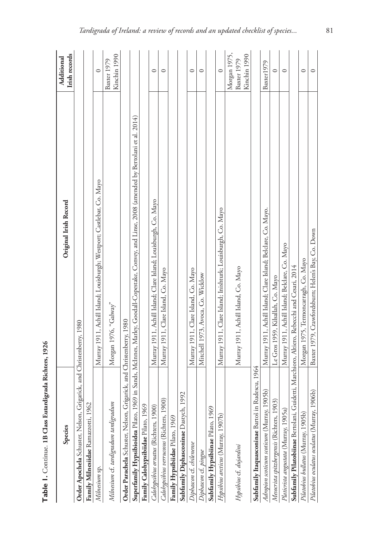| Species                                                              | Original Irish Record                                                                                                                                 | Irish records<br>Additional |
|----------------------------------------------------------------------|-------------------------------------------------------------------------------------------------------------------------------------------------------|-----------------------------|
| Order Apochela Schuster, Nelson,                                     | Grigarick, and Christenberry, 1980                                                                                                                    |                             |
| Family Milnesiidae Ramazzotti, 1962                                  |                                                                                                                                                       |                             |
| Milnesium sp.                                                        | Murray 1911, Achill Island; Louisburgh; Westport; Castlebar, Co. Mayo                                                                                 | $\circ$                     |
| Milnesium cf. tardigradum tardigradum                                | Morgan 1976, "Galway"                                                                                                                                 | Kinchin 1990<br>Baxter 1979 |
| Order Parachela Schuster, Nelson, Grigarick, and Christenberry, 1980 |                                                                                                                                                       |                             |
|                                                                      | <b>Superfamily Hypsibioidea</b> Pilato, 1969 in Sands, McInnes, Marley, Goodall-Copestake, Convey, and Linse, 2008 (amended by Bertolani et al. 2014) |                             |
| Family Calohypsibiidae Pilato, 1969                                  |                                                                                                                                                       |                             |
| Calohypsibius ornatus (Richters, 1900)                               | Murray 1911, Achill Island; Clare Island; Louisburgh, Co. Mayo                                                                                        | 0                           |
| 900)<br>Calohypsibius verrucosus (Richters,                          | Murray 1911, Clare Island, Co. Mayo                                                                                                                   | $\circ$                     |
| Family Hypsibiidae Pilato, 1969                                      |                                                                                                                                                       |                             |
| Subfamily Diphasconinae Dastych, 1992                                |                                                                                                                                                       |                             |
| Diphascon cf. chilenense                                             | Murray 1911, Clare Island, Co. Mayo                                                                                                                   | $\circ$                     |
| Diphascon cf. pingue                                                 | Mitchell 1973, Avoca, Co. Wicklow                                                                                                                     | $\circ$                     |
| Subfamily Hypsibiinae Pilato, 1969                                   |                                                                                                                                                       |                             |
| Hypsibius arcticus (Murray, 1907b)                                   | Murray 1911, Clare Island; Inishturk; Louisburgh, Co. Mayo                                                                                            | $\circ$                     |
|                                                                      |                                                                                                                                                       | Morgan 1975,                |
| Hypsibius cf. dujardini                                              | Murray 1911, Achill Island, Co. Mayo                                                                                                                  | Kinchin 1990<br>Baxter 1979 |
| Subfamily Itaquasconinae Bartoš in Rudescu, 1964                     |                                                                                                                                                       |                             |
| 1905b)<br>Adropion scoticum scoticum (Murray,                        | Murray 1911, Achill Island; Clare Island; Belclare, Co. Mayo.                                                                                         | Baxter1979                  |
| Mesocrista spitzbergensis (Richters, 1903)                           | Le Gros 1959, Kilsallah, Co. Mayo                                                                                                                     | $\circ$                     |
| Platicrista angustata (Mutray, 1905a)                                | Murray 1911, Achill Island; Belclare, Co. Mayo                                                                                                        | $\circ$                     |
| Subfamily Pilatobiinae Bertolani,                                    | Guidetti, Marchioro, Altiero, Rebecchi and Cesari, 2014                                                                                               |                             |
| Pilatobius bullatus (Murray, 1905b)                                  | Morgan 1975, Termoncarragh, Co. Mayo                                                                                                                  | $\circ$                     |
| Pilatobius oculatus oculatus (Murray, 1906b)                         | Baxter 1979, Crawfordsburn; Helen's Bay, Co. Down                                                                                                     | $\circ$                     |

Table 1. Continue. 1B Class Eutardigrada Richters, 1926 **Table 1.** Continue. **1B Class Eutardigrada Richters, 1926**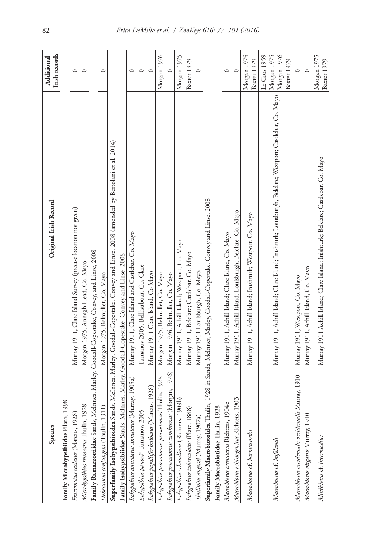| Species                                                                                  | Original Irish Record                                                                                                            | Irish records<br>Additional               |
|------------------------------------------------------------------------------------------|----------------------------------------------------------------------------------------------------------------------------------|-------------------------------------------|
| Family Microhypsibiidae Pilato, 1998                                                     |                                                                                                                                  |                                           |
| Fractonotus caelatus (Marcus, 1928)                                                      | Murray 1911, Clare Island Survey (precise location not given)                                                                    | $\circ$                                   |
| Microhypsibius truncatus Thulin, 1928                                                    | Morgan 1975, Annagh Head, Co. Mayo                                                                                               | $\circ$                                   |
| Family Ramazzottiidae Sands, McInnes, Marley, Goodall-Copestake, Convey, and Linse, 2008 |                                                                                                                                  |                                           |
| Hebesuncus conjungens (Thulin, 1911                                                      | Morgan 1975, Belmullet, Co. Mayo                                                                                                 | $\circ$                                   |
|                                                                                          | Superfamily Isohypsibioidea Sands, McInnes, Marley, Goodall-Copestake, Convey and Linse, 2008 (amended by Bertolani et al. 2014) |                                           |
| Family Isohypsibiidae Sands, McInnes, Marley, Goodall-Copestake, Convey and Linse, 2008  |                                                                                                                                  |                                           |
| Isohypsibius annulatus annulatus (Murray, 1905a)                                         | Murray 1911, Clare Island and Castlebar, Co. Mayo                                                                                | $\circ$                                   |
| Isobypsibius panovi* Tumanov, 2005                                                       | Tumanov 2005, Bellharbour, Co. Clare                                                                                             | $\circ$                                   |
| Isohypsibius papillifer bulbosus (Marcus, 1928)                                          | Murray 1911 Clare Island, Co Mayo                                                                                                | $\circ$                                   |
| <b>Thulin</b> , 1928<br>Isohypsibius prosostomus prosostomus T                           | Morgan 1975, Belmullet, Co. Mayo                                                                                                 | Morgan 1976                               |
| Isohypsibius prosostomus cambrensis (Morgan, 1976)                                       | Morgan 1976, Belmullet, Co. Mayo                                                                                                 | Ċ                                         |
| Isohypsibius schaudinni (Richters, 1909b)                                                | Murray 1911, Achill Island; Westport, Co. Mayo                                                                                   | Morgan 1975                               |
| Isohypsibius tuberculatus (Plate, 1888)                                                  | Murray 1911, Beldare; Castlebar, Co. Mayo                                                                                        | Baxter 1979                               |
| Thulinius augusti (Murray, 1907a)                                                        | Murray 1911 Louisburgh, Co. Mayo                                                                                                 | $\circ$                                   |
|                                                                                          | Superfamily Macrobiotoidea Thulin, 1928 in Sands, McInnes, Marley, Goodall-Copestake, Convey and Linse, 2008                     |                                           |
| Family Macrobiotidae Thulin, 192                                                         |                                                                                                                                  |                                           |
| Macrobiotus crenulatus Richters, 1904c                                                   | Murray 1911, Achill Island; Clare Island, Co. Mayo                                                                               | $\circ$                                   |
| 1903<br>Macrobiotus echinogenitus Richters,                                              | Murray 1911, Achill Island; Louisburgh; Belclare, Co. Mayo                                                                       | $\circ$                                   |
| Macrobiotus cf. harmsworthi                                                              | Murray 1911, Achill Island; Inishturk; Westport, Co. Mayo                                                                        | Morgan 1975<br>Baxter 1979                |
|                                                                                          |                                                                                                                                  | Le Gros $1959$                            |
| Macrobiotus cf. hufelandi                                                                | Murray 1911, Achill Island; Clare Island; Inishturk; Louisburgh, Belclare; Westport; Castlebar, Co. Mayo                         | Morgan 1976<br>Morgan 1975<br>Baxter 1979 |
| Macrobiotus occidentalis occidentalis Murray, 1910                                       | Murray 1911, Westport, Co. Mayo                                                                                                  | $\circ$                                   |
| Macrobiotus virgatus Murray, 1910                                                        | Murray 1911, Achill Island, Co. Mavo                                                                                             | $\circ$                                   |
| Minibiotus cf. intermedius                                                               | Murray 1911 Achill Island; Clare Island; Inishturk; Beldare; Castlebar, Co. Mayo                                                 | Morgan 1975<br>Baxter 1979                |

82 *Erica DeMilio et al. / ZooKeys 616: 77–101 (2016)*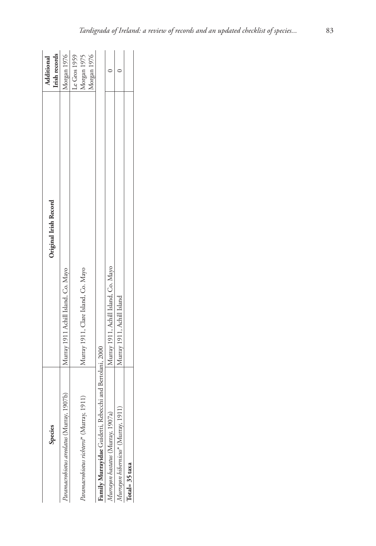| Species                                                  | Original Irish Record                | Irish records<br>Additional |
|----------------------------------------------------------|--------------------------------------|-----------------------------|
| (907b)<br>dramacrobiotus areolatus (Murray, 1            | Murray 1911 Achill Island, Co. Mayo  | Morgan 1976                 |
|                                                          | Murray 1911, Clare Island, Co. Mayo  | Le Gros $1959$              |
| Paramacrobiotus richtersi* (Murray, 1911)                |                                      | Morgan 1976<br>Morgan 1975  |
| Family Murrayidae Guidetti, Rebecchi and Bertolani, 2000 |                                      |                             |
| Vlurrayon hastatus (Murray, 1907a)                       | Murray 1911, Achill Island, Co. Mayo |                             |
| Murrayon hibernicus* (Murray, 1911)                      | Murray 1911, Achill Island           |                             |
| Total= 35 taxa                                           |                                      |                             |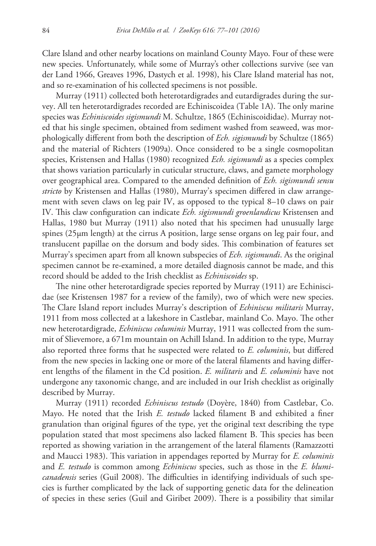Clare Island and other nearby locations on mainland County Mayo. Four of these were new species. Unfortunately, while some of Murray's other collections survive (see van der Land 1966, Greaves 1996, Dastych et al. 1998), his Clare Island material has not, and so re-examination of his collected specimens is not possible.

Murray (1911) collected both heterotardigrades and eutardigrades during the survey. All ten heterotardigrades recorded are Echiniscoidea (Table 1A). The only marine species was *Echiniscoides sigismundi* M. Schultze, 1865 (Echiniscoididae). Murray noted that his single specimen, obtained from sediment washed from seaweed, was morphologically different from both the description of *Ech. sigismundi* by Schultze (1865) and the material of Richters (1909a). Once considered to be a single cosmopolitan species, Kristensen and Hallas (1980) recognized *Ech. sigismundi* as a species complex that shows variation particularly in cuticular structure, claws, and gamete morphology over geographical area. Compared to the amended definition of *Ech. sigismundi sensu stricto* by Kristensen and Hallas (1980), Murray's specimen differed in claw arrangement with seven claws on leg pair IV, as opposed to the typical 8–10 claws on pair IV. This claw configuration can indicate *Ech. sigismundi groenlandicus* Kristensen and Hallas, 1980 but Murray (1911) also noted that his specimen had unusually large spines (25µm length) at the cirrus A position, large sense organs on leg pair four, and translucent papillae on the dorsum and body sides. This combination of features set Murray's specimen apart from all known subspecies of *Ech. sigismundi*. As the original specimen cannot be re-examined, a more detailed diagnosis cannot be made, and this record should be added to the Irish checklist as *Echiniscoides* sp.

The nine other heterotardigrade species reported by Murray (1911) are Echiniscidae (see Kristensen 1987 for a review of the family), two of which were new species. The Clare Island report includes Murray's description of *Echiniscus militaris* Murray, 1911 from moss collected at a lakeshore in Castlebar, mainland Co. Mayo. The other new heterotardigrade, *Echiniscus columinis* Murray, 1911 was collected from the summit of Slievemore, a 671m mountain on Achill Island. In addition to the type, Murray also reported three forms that he suspected were related to *E. columinis*, but differed from the new species in lacking one or more of the lateral filaments and having different lengths of the filament in the Cd position. *E. militaris* and *E. columinis* have not undergone any taxonomic change, and are included in our Irish checklist as originally described by Murray.

Murray (1911) recorded *Echiniscus testudo* (Doyère, 1840) from Castlebar, Co. Mayo. He noted that the Irish *E. testudo* lacked filament B and exhibited a finer granulation than original figures of the type, yet the original text describing the type population stated that most specimens also lacked filament B. This species has been reported as showing variation in the arrangement of the lateral filaments (Ramazzotti and Maucci 1983). This variation in appendages reported by Murray for *E. columinis* and *E. testudo* is common among *Echiniscus* species, such as those in the *E. blumicanadensis* series (Guil 2008). The difficulties in identifying individuals of such species is further complicated by the lack of supporting genetic data for the delineation of species in these series (Guil and Giribet 2009). There is a possibility that similar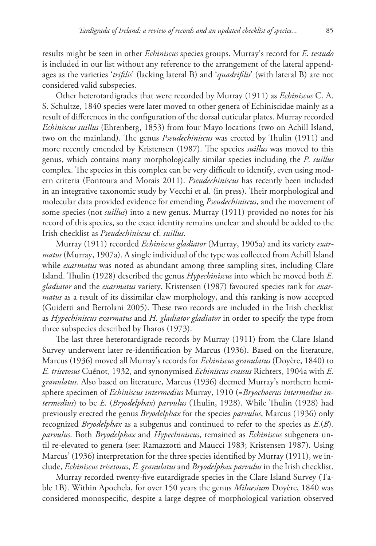results might be seen in other *Echiniscus* species groups. Murray's record for *E. testudo* is included in our list without any reference to the arrangement of the lateral appendages as the varieties '*trifilis*' (lacking lateral B) and '*quadrifilis*' (with lateral B) are not considered valid subspecies.

Other heterotardigrades that were recorded by Murray (1911) as *Echiniscus* C. A. S. Schultze, 1840 species were later moved to other genera of Echiniscidae mainly as a result of differences in the configuration of the dorsal cuticular plates. Murray recorded *Echiniscus suillus* (Ehrenberg, 1853) from four Mayo locations (two on Achill Island, two on the mainland). The genus *Pseudechiniscus* was erected by Thulin (1911) and more recently emended by Kristensen (1987). The species *suillus* was moved to this genus, which contains many morphologically similar species including the *P. suillus* complex. The species in this complex can be very difficult to identify, even using modern criteria (Fontoura and Morais 2011). *Pseudechiniscus* has recently been included in an integrative taxonomic study by Vecchi et al. (in press). Their morphological and molecular data provided evidence for emending *Pseudechiniscus*, and the movement of some species (not *suillus*) into a new genus. Murray (1911) provided no notes for his record of this species, so the exact identity remains unclear and should be added to the Irish checklist as *Pseudechiniscus* cf. *suillus*.

Murray (1911) recorded *Echiniscus gladiator* (Murray, 1905a) and its variety *exarmatus* (Murray, 1907a). A single individual of the type was collected from Achill Island while *exarmatus* was noted as abundant among three sampling sites, including Clare Island. Thulin (1928) described the genus *Hypechiniscus* into which he moved both *E. gladiator* and the *exarmatus* variety. Kristensen (1987) favoured species rank for *exarmatus* as a result of its dissimilar claw morphology, and this ranking is now accepted (Guidetti and Bertolani 2005). These two records are included in the Irish checklist as *Hypechiniscus exarmatus* and *H. gladiator gladiator* in order to specify the type from three subspecies described by Iharos (1973).

The last three heterotardigrade records by Murray (1911) from the Clare Island Survey underwent later re-identification by Marcus (1936). Based on the literature, Marcus (1936) moved all Murray's records for *Echiniscus granulatus* (Doyère, 1840) to *E. trisetosus* Cuénot, 1932, and synonymised *Echiniscus crassus* Richters, 1904a with *E. granulatus.* Also based on literature, Marcus (1936) deemed Murray's northern hemisphere specimen of *Echiniscus intermedius* Murray, 1910 (=*Bryochoerus intermedius intermedius*) to be *E.* (*Bryodelphax*) *parvulus* (Thulin, 1928). While Thulin (1928) had previously erected the genus *Bryodelphax* for the species *parvulus*, Marcus (1936) only recognized *Bryodelphax* as a subgenus and continued to refer to the species as *E.*(*B*)*. parvulus*. Both *Bryodelphax* and *Hypechiniscus*, remained as *Echiniscus* subgenera until re-elevated to genera (see: Ramazzotti and Maucci 1983; Kristensen 1987). Using Marcus' (1936) interpretation for the three species identified by Murray (1911), we include, *Echiniscus trisetosus*, *E. granulatus* and *Bryodelphax parvulus* in the Irish checklist.

Murray recorded twenty-five eutardigrade species in the Clare Island Survey (Table 1B). Within Apochela, for over 150 years the genus *Milnesium* Doyère, 1840 was considered monospecific, despite a large degree of morphological variation observed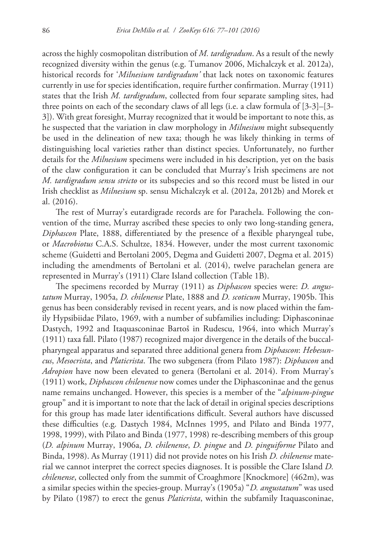across the highly cosmopolitan distribution of *M. tardigradum*. As a result of the newly recognized diversity within the genus (e.g. Tumanov 2006, Michalczyk et al. 2012a), historical records for '*Milnesium tardigradum'* that lack notes on taxonomic features currently in use for species identification, require further confirmation. Murray (1911) states that the Irish *M. tardigradum*, collected from four separate sampling sites, had three points on each of the secondary claws of all legs (i.e. a claw formula of [3-3]–[3- 3]). With great foresight, Murray recognized that it would be important to note this, as he suspected that the variation in claw morphology in *Milnesium* might subsequently be used in the delineation of new taxa; though he was likely thinking in terms of distinguishing local varieties rather than distinct species. Unfortunately, no further details for the *Milnesium* specimens were included in his description, yet on the basis of the claw configuration it can be concluded that Murray's Irish specimens are not *M. tardigradum sensu stricto* or its subspecies and so this record must be listed in our Irish checklist as *Milnesium* sp. sensu Michalczyk et al. (2012a, 2012b) and Morek et al. (2016).

The rest of Murray's eutardigrade records are for Parachela. Following the convention of the time, Murray ascribed these species to only two long-standing genera, *Diphascon* Plate, 1888, differentiated by the presence of a flexible pharyngeal tube, or *Macrobiotus* C.A.S. Schultze, 1834. However, under the most current taxonomic scheme (Guidetti and Bertolani 2005, Degma and Guidetti 2007, Degma et al. 2015) including the amendments of Bertolani et al. (2014), twelve parachelan genera are represented in Murray's (1911) Clare Island collection (Table 1B).

The specimens recorded by Murray (1911) as *Diphascon* species were: *D. angustatum* Murray, 1905a, *D. chilenense* Plate, 1888 and *D. scoticum* Murray, 1905b. This genus has been considerably revised in recent years, and is now placed within the family Hypsibiidae Pilato, 1969, with a number of subfamilies including: Diphasconinae Dastych, 1992 and Itaquasconinae Bartoš in Rudescu, 1964, into which Murray's (1911) taxa fall. Pilato (1987) recognized major divergence in the details of the buccalpharyngeal apparatus and separated three additional genera from *Diphascon*: *Hebesuncus*, *Mesocrista*, and *Platicrista*. The two subgenera (from Pilato 1987): *Diphascon* and *Adropion* have now been elevated to genera (Bertolani et al. 2014). From Murray's (1911) work, *Diphascon chilenense* now comes under the Diphasconinae and the genus name remains unchanged. However, this species is a member of the "*alpinum-pingue* group" and it is important to note that the lack of detail in original species descriptions for this group has made later identifications difficult. Several authors have discussed these difficulties (e.g. Dastych 1984, McInnes 1995, and Pilato and Binda 1977, 1998, 1999), with Pilato and Binda (1977, 1998) re-describing members of this group (*D. alpinum* Murray, 1906a, *D. chilenense*, *D. pingue* and *D. pinguiforme* Pilato and Binda, 1998). As Murray (1911) did not provide notes on his Irish *D. chilenense* material we cannot interpret the correct species diagnoses. It is possible the Clare Island *D. chilenense*, collected only from the summit of Croaghmore [Knockmore] (462m), was a similar species within the species-group. Murray's (1905a) "*D. angustatum*" was used by Pilato (1987) to erect the genus *Platicrista*, within the subfamily Itaquasconinae,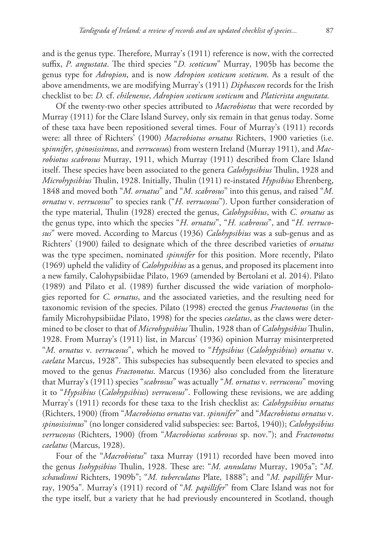and is the genus type. Therefore, Murray's (1911) reference is now, with the corrected suffix, *P. angustata*. The third species "*D. scoticum*" Murray, 1905b has become the genus type for *Adropion*, and is now *Adropion scoticum scoticum*. As a result of the above amendments, we are modifying Murray's (1911) *Diphascon* records for the Irish checklist to be: *D.* cf. *chilenense*, *Adropion scoticum scoticum* and *Platicrista angustata.*

Of the twenty-two other species attributed to *Macrobiotus* that were recorded by Murray (1911) for the Clare Island Survey, only six remain in that genus today. Some of these taxa have been repositioned several times. Four of Murray's (1911) records were: all three of Richters' (1900) *Macrobiotus ornatus* Richters, 1900 varieties (i.e. s*pinnifer*, *spinosissimus*, and *verrucosu*s) from western Ireland (Murray 1911), and *Macrobiotus scabrosus* Murray, 1911, which Murray (1911) described from Clare Island itself. These species have been associated to the genera *Calohypsibius* Thulin, 1928 and *Microhypsibius* Thulin, 1928. Initially, Thulin (1911) re-instated *Hypsibius* Ehrenberg, 1848 and moved both "*M. ornatus*" and "*M. scabrosus*" into this genus, and raised "*M. ornatus* v. *verrucosus*" to species rank ("*H. verrucosus*"). Upon further consideration of the type material, Thulin (1928) erected the genus, *Calohypsibius*, with *C. ornatus* as the genus type, into which the species "*H. ornatus*", "*H. scabrosus*", and "*H. verrucosus*" were moved. According to Marcus (1936) *Calohypsibius* was a sub-genus and as Richters' (1900) failed to designate which of the three described varieties of *ornatus*  was the type specimen, nominated *spinnifer* for this position. More recently, Pilato (1969) upheld the validity of *Calohypsibius* as a genus, and proposed its placement into a new family, Calohypsibiidae Pilato, 1969 (amended by Bertolani et al. 2014). Pilato (1989) and Pilato et al. (1989) further discussed the wide variation of morphologies reported for *C. ornatus*, and the associated varieties, and the resulting need for taxonomic revision of the species. Pilato (1998) erected the genus *Fractonotus* (in the family Microhypsibiidae Pilato, 1998) for the species *caelatus*, as the claws were determined to be closer to that of *Microhypsibius* Thulin, 1928 than of *Calohypsibius* Thulin, 1928. From Murray's (1911) list, in Marcus' (1936) opinion Murray misinterpreted "*M. ornatus* v. *verrucosus*", which he moved to "*Hypsibius* (*Calohypsibius*) *ornatus* v. *caelata* Marcus, 1928". This subspecies has subsequently been elevated to species and moved to the genus *Fractonotus*. Marcus (1936) also concluded from the literature that Murray's (1911) species "*scabrosus*" was actually "*M. ornatus* v. *verrucosus*" moving it to "*Hypsibius* (*Calohypsibius*) *verrucosus*". Following these revisions, we are adding Murray's (1911) records for these taxa to the Irish checklist as: *Calohypsibius ornatus* (Richters, 1900) (from "*Macrobiotus ornatus* var. *spinnifer*" and "*Macrobiotus ornatus* v. *spinosissimus*" (no longer considered valid subspecies: see: Bartoš, 1940)); *Calohypsibius verrucosus* (Richters, 1900) (from "*Macrobiotus scabrosus* sp. nov."); and *Fractonotus caelatus* (Marcus, 1928).

Four of the "*Macrobiotus*" taxa Murray (1911) recorded have been moved into the genus *Isohypsibius* Thulin, 1928. These are: "*M. annulatus* Murray, 1905a"; "*M. schaudinni* Richters, 1909b"; "*M. tuberculatus* Plate, 1888"; and "*M. papillifer* Murray, 1905a". Murray's (1911) record of "*M. papillifer*" from Clare Island was not for the type itself, but a variety that he had previously encountered in Scotland, though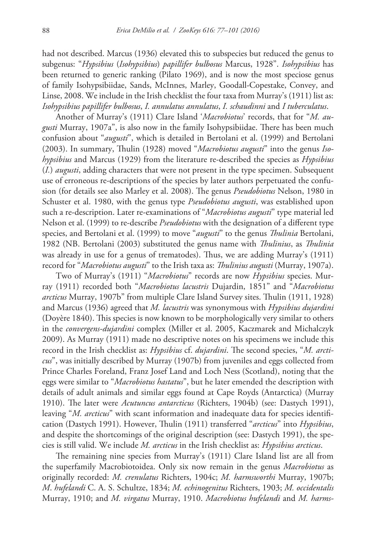had not described. Marcus (1936) elevated this to subspecies but reduced the genus to subgenus: "*Hypsibius* (*Isohypsibius*) *papillifer bulbosus* Marcus, 1928". *Isohypsibius* has been returned to generic ranking (Pilato 1969), and is now the most speciose genus of family Isohypsibiidae, Sands, McInnes, Marley, Goodall-Copestake, Convey, and Linse, 2008. We include in the Irish checklist the four taxa from Murray's (1911) list as: *Isohypsibius papillifer bulbosus*, *I. annulatus annulatus*, *I. schaudinni* and *I tuberculatus*.

Another of Murray's (1911) Clare Island '*Macrobiotus*' records, that for "*M. augusti* Murray, 1907a", is also now in the family Isohypsibiidae. There has been much confusion about "*augusti*", which is detailed in Bertolani et al. (1999) and Bertolani (2003). In summary, Thulin (1928) moved "*Macrobiotus augusti*" into the genus *Isohypsibius* and Marcus (1929) from the literature re-described the species as *Hypsibius* (*I.*) *augusti*, adding characters that were not present in the type specimen. Subsequent use of erroneous re-descriptions of the species by later authors perpetuated the confusion (for details see also Marley et al. 2008). The genus *Pseudobiotus* Nelson, 1980 in Schuster et al. 1980, with the genus type *Pseudobiotus augusti*, was established upon such a re-description. Later re-examinations of "*Macrobiotus augusti*" type material led Nelson et al. (1999) to re-describe *Pseudobiotus* with the designation of a different type species, and Bertolani et al. (1999) to move "*augusti*" to the genus *Thulinia* Bertolani, 1982 (NB. Bertolani (2003) substituted the genus name with *Thulinius*, as *Thulinia* was already in use for a genus of trematodes). Thus, we are adding Murray's (1911) record for "*Macrobiotus augusti*" to the Irish taxa as: *Thulinius augusti* (Murray, 1907a).

Two of Murray's (1911) "*Macrobiotus*" records are now *Hypsibius* species. Murray (1911) recorded both "*Macrobiotus lacustris* Dujardin, 1851" and "*Macrobiotus arcticus* Murray, 1907b" from multiple Clare Island Survey sites. Thulin (1911, 1928) and Marcus (1936) agreed that *M. lacustris* was synonymous with *Hypsibius dujardini* (Doyère 1840). This species is now known to be morphologically very similar to others in the *convergens-dujardini* complex (Miller et al. 2005, Kaczmarek and Michalczyk 2009). As Murray (1911) made no descriptive notes on his specimens we include this record in the Irish checklist as: *Hypsibius* cf. *dujardini*. The second species, "*M. arcticus*", was initially described by Murray (1907b) from juveniles and eggs collected from Prince Charles Foreland, Franz Josef Land and Loch Ness (Scotland), noting that the eggs were similar to "*Macrobiotus hastatus*", but he later emended the description with details of adult animals and similar eggs found at Cape Royds (Antarctica) (Murray 1910). The later were *Acutuncus antarcticus* (Richters, 1904b) (see: Dastych 1991), leaving "*M. arcticus*" with scant information and inadequate data for species identification (Dastych 1991). However, Thulin (1911) transferred "*arcticus*" into *Hypsibius*, and despite the shortcomings of the original description (see: Dastych 1991), the species is still valid. We include *M. arcticus* in the Irish checklist as: *Hypsibius arcticus*.

The remaining nine species from Murray's (1911) Clare Island list are all from the superfamily Macrobiotoidea. Only six now remain in the genus *Macrobiotus* as originally recorded: *M. crenulatus* Richters, 1904c; *M. harmsworthi* Murray, 1907b; *M*. *hufelandi* C. A. S. Schultze, 1834; *M. echinogenitus* Richters, 1903; *M. occidentalis*  Murray, 1910; and *M. virgatus* Murray, 1910. *Macrobiotus hufelandi* and *M. harms-*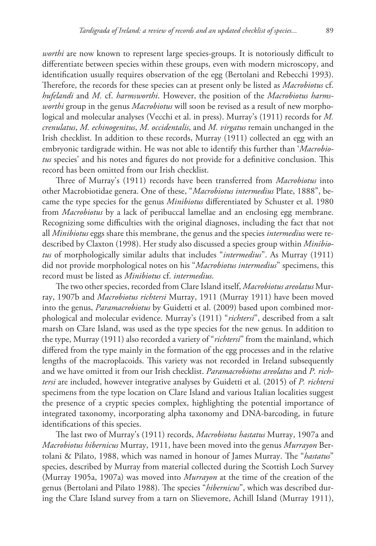*worthi* are now known to represent large species-groups. It is notoriously difficult to differentiate between species within these groups, even with modern microscopy, and identification usually requires observation of the egg (Bertolani and Rebecchi 1993). Therefore, the records for these species can at present only be listed as *Macrobiotus* cf. *hufelandi* and *M.* cf. *harmsworthi*. However, the position of the *Macrobiotus harmsworthi* group in the genus *Macrobiotus* will soon be revised as a result of new morphological and molecular analyses (Vecchi et al. in press). Murray's (1911) records for *M. crenulatus*, *M. echinogenitus*, *M. occidentalis*, and *M. virgatus* remain unchanged in the Irish checklist. In addition to these records, Murray (1911) collected an egg with an embryonic tardigrade within. He was not able to identify this further than '*Macrobiotus* species' and his notes and figures do not provide for a definitive conclusion. This record has been omitted from our Irish checklist.

Three of Murray's (1911) records have been transferred from *Macrobiotus* into other Macrobiotidae genera. One of these, "*Macrobiotus intermedius* Plate, 1888", became the type species for the genus *Minibiotus* differentiated by Schuster et al. 1980 from *Macrobiotus* by a lack of peribuccal lamellae and an enclosing egg membrane. Recognizing some difficulties with the original diagnoses, including the fact that not all *Minibiotus* eggs share this membrane, the genus and the species *intermedius* were redescribed by Claxton (1998). Her study also discussed a species group within *Minibiotus* of morphologically similar adults that includes "*intermedius*". As Murray (1911) did not provide morphological notes on his "*Macrobiotus intermedius*" specimens, this record must be listed as *Minibiotus* cf. *intermedius*.

The two other species, recorded from Clare Island itself, *Macrobiotus areolatus* Murray, 1907b and *Macrobiotus richtersi* Murray, 1911 (Murray 1911) have been moved into the genus, *Paramacrobiotus* by Guidetti et al. (2009) based upon combined morphological and molecular evidence. Murray's (1911) "*richtersi*", described from a salt marsh on Clare Island, was used as the type species for the new genus. In addition to the type, Murray (1911) also recorded a variety of "*richtersi*" from the mainland, which differed from the type mainly in the formation of the egg processes and in the relative lengths of the macroplacoids. This variety was not recorded in Ireland subsequently and we have omitted it from our Irish checklist. *Paramacrobiotus areolatus* and *P. richtersi* are included, however integrative analyses by Guidetti et al. (2015) of *P. richtersi* specimens from the type location on Clare Island and various Italian localities suggest the presence of a cryptic species complex, highlighting the potential importance of integrated taxonomy, incorporating alpha taxonomy and DNA-barcoding, in future identifications of this species.

The last two of Murray's (1911) records, *Macrobiotus hastatus* Murray, 1907a and *Macrobiotus hibernicus* Murray, 1911, have been moved into the genus *Murrayon* Bertolani & Pilato, 1988, which was named in honour of James Murray. The "*hastatus*" species, described by Murray from material collected during the Scottish Loch Survey (Murray 1905a, 1907a) was moved into *Murrayon* at the time of the creation of the genus (Bertolani and Pilato 1988). The species "*hibernicus*", which was described during the Clare Island survey from a tarn on Slievemore, Achill Island (Murray 1911),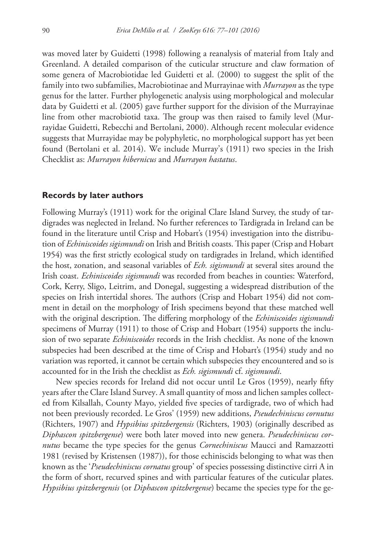was moved later by Guidetti (1998) following a reanalysis of material from Italy and Greenland. A detailed comparison of the cuticular structure and claw formation of some genera of Macrobiotidae led Guidetti et al. (2000) to suggest the split of the family into two subfamilies, Macrobiotinae and Murrayinae with *Murrayon* as the type genus for the latter. Further phylogenetic analysis using morphological and molecular data by Guidetti et al. (2005) gave further support for the division of the Murrayinae line from other macrobiotid taxa. The group was then raised to family level (Murrayidae Guidetti, Rebecchi and Bertolani, 2000). Although recent molecular evidence suggests that Murrayidae may be polyphyletic, no morphological support has yet been found (Bertolani et al. 2014). We include Murray's (1911) two species in the Irish Checklist as: *Murrayon hibernicus* and *Murrayon hastatus*.

### **Records by later authors**

Following Murray's (1911) work for the original Clare Island Survey, the study of tardigrades was neglected in Ireland. No further references to Tardigrada in Ireland can be found in the literature until Crisp and Hobart's (1954) investigation into the distribution of *Echiniscoides sigismundi* on Irish and British coasts. This paper (Crisp and Hobart 1954) was the first strictly ecological study on tardigrades in Ireland, which identified the host, zonation, and seasonal variables of *Ech. sigismundi* at several sites around the Irish coast. *Echiniscoides sigismundi* was recorded from beaches in counties: Waterford, Cork, Kerry, Sligo, Leitrim, and Donegal, suggesting a widespread distribution of the species on Irish intertidal shores. The authors (Crisp and Hobart 1954) did not comment in detail on the morphology of Irish specimens beyond that these matched well with the original description. The differing morphology of the *Echiniscoides sigismundi* specimens of Murray (1911) to those of Crisp and Hobart (1954) supports the inclusion of two separate *Echiniscoides* records in the Irish checklist. As none of the known subspecies had been described at the time of Crisp and Hobart's (1954) study and no variation was reported, it cannot be certain which subspecies they encountered and so is accounted for in the Irish the checklist as *Ech. sigismundi* cf. *sigismundi*.

New species records for Ireland did not occur until Le Gros (1959), nearly fifty years after the Clare Island Survey. A small quantity of moss and lichen samples collected from Kilsallah, County Mayo, yielded five species of tardigrade, two of which had not been previously recorded. Le Gros' (1959) new additions, *Pseudechiniscus cornutus*  (Richters, 1907) and *Hypsibius spitzbergensis* (Richters, 1903) (originally described as *Diphascon spitzbergense*) were both later moved into new genera. *Pseudechiniscus cornutus* became the type species for the genus *Cornechiniscus* Maucci and Ramazzotti 1981 (revised by Kristensen (1987)), for those echiniscids belonging to what was then known as the '*Pseudechiniscus cornatus* group' of species possessing distinctive cirri A in the form of short, recurved spines and with particular features of the cuticular plates. *Hypsibius spitzbergensis* (or *Diphascon spitzbergense*) became the species type for the ge-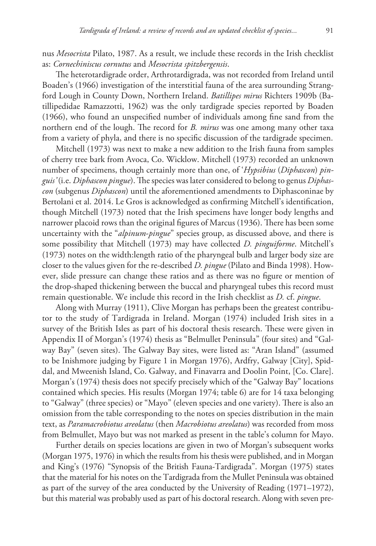nus *Mesocrista* Pilato, 1987. As a result, we include these records in the Irish checklist as: *Cornechiniscus cornutus* and *Mesocrista spitzbergensis*.

The heterotardigrade order, Arthrotardigrada, was not recorded from Ireland until Boaden's (1966) investigation of the interstitial fauna of the area surrounding Strangford Lough in County Down, Northern Ireland. *Batillipes mirus* Richters 1909b (Batillipedidae Ramazzotti, 1962) was the only tardigrade species reported by Boaden (1966), who found an unspecified number of individuals among fine sand from the northern end of the lough. The record for *B. mirus* was one among many other taxa from a variety of phyla, and there is no specific discussion of the tardigrade specimen.

Mitchell (1973) was next to make a new addition to the Irish fauna from samples of cherry tree bark from Avoca, Co. Wicklow. Mitchell (1973) recorded an unknown number of specimens, though certainly more than one, of '*Hypsibius* (*Diphascon*) *pinguis'* (i.e. *Diphascon pingue*). The species was later considered to belong to genus *Diphascon* (subgenus *Diphascon*) until the aforementioned amendments to Diphasconinae by Bertolani et al. 2014. Le Gros is acknowledged as confirming Mitchell's identification, though Mitchell (1973) noted that the Irish specimens have longer body lengths and narrower placoid rows than the original figures of Marcus (1936). There has been some uncertainty with the "*alpinum*-*pingue*" species group, as discussed above, and there is some possibility that Mitchell (1973) may have collected *D. pinguiforme*. Mitchell's (1973) notes on the width:length ratio of the pharyngeal bulb and larger body size are closer to the values given for the re-described *D. pingue* (Pilato and Binda 1998). However, slide pressure can change these ratios and as there was no figure or mention of the drop-shaped thickening between the buccal and pharyngeal tubes this record must remain questionable. We include this record in the Irish checklist as *D.* cf. *pingue*.

Along with Murray (1911), Clive Morgan has perhaps been the greatest contributor to the study of Tardigrada in Ireland. Morgan (1974) included Irish sites in a survey of the British Isles as part of his doctoral thesis research. These were given in Appendix II of Morgan's (1974) thesis as "Belmullet Peninsula" (four sites) and "Galway Bay" (seven sites). The Galway Bay sites, were listed as: "Aran Island" (assumed to be Inishmore judging by Figure 1 in Morgan 1976), Ardfry, Galway [City], Spiddal, and Mweenish Island, Co. Galway, and Finavarra and Doolin Point, [Co. Clare]. Morgan's (1974) thesis does not specify precisely which of the "Galway Bay" locations contained which species. His results (Morgan 1974; table 6) are for 14 taxa belonging to "Galway" (three species) or "Mayo" (eleven species and one variety). There is also an omission from the table corresponding to the notes on species distribution in the main text, as *Paramacrobiotus areolatus* (then *Macrobiotus areolatus*) was recorded from moss from Belmullet, Mayo but was not marked as present in the table's column for Mayo.

Further details on species locations are given in two of Morgan's subsequent works (Morgan 1975, 1976) in which the results from his thesis were published, and in Morgan and King's (1976) "Synopsis of the British Fauna-Tardigrada". Morgan (1975) states that the material for his notes on the Tardigrada from the Mullet Peninsula was obtained as part of the survey of the area conducted by the University of Reading (1971–1972), but this material was probably used as part of his doctoral research. Along with seven pre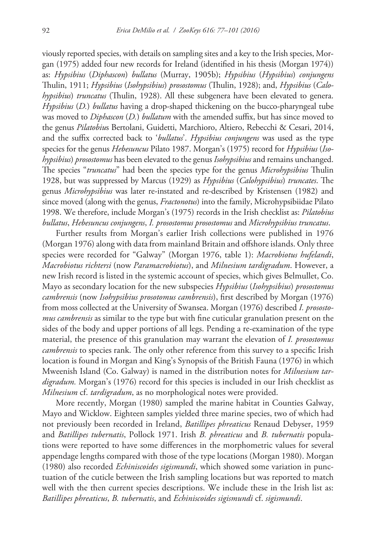viously reported species, with details on sampling sites and a key to the Irish species, Morgan (1975) added four new records for Ireland (identified in his thesis (Morgan 1974)) as: *Hypsibius* (*Diphascon*) *bullatus* (Murray, 1905b); *Hypsibius* (*Hypsibius*) *conjungens* Thulin, 1911; *Hypsibius* (*Isohypsibius*) *prosostomus* (Thulin, 1928); and, *Hypsibius* (*Calohypsibius*) *truncatus* (Thulin, 1928). All these subgenera have been elevated to genera. *Hypsibius* (*D.*) *bullatus* having a drop-shaped thickening on the bucco-pharyngeal tube was moved to *Diphascon* (*D.*) *bullatum* with the amended suffix, but has since moved to the genus *Pilatobiu*s Bertolani, Guidetti, Marchioro, Altiero, Rebecchi & Cesari, 2014, and the suffix corrected back to '*bullatus*'. *Hypsibius conjungens* was used as the type species for the genus *Hebesuncus* Pilato 1987. Morgan's (1975) record for *Hypsibius* (*Isohypsibius*) *prosostomus* has been elevated to the genus *Isohypsibius* and remains unchanged. The species "*truncatus*" had been the species type for the genus *Microhypsibius* Thulin 1928, but was suppressed by Marcus (1929) as *Hypsibius* (*Calohypsibius*) *truncates*. The genus *Microhypsibius* was later re-instated and re-described by Kristensen (1982) and since moved (along with the genus, *Fractonotus*) into the family, Microhypsibiidae Pilato 1998. We therefore, include Morgan's (1975) records in the Irish checklist as: *Pilatobius bullatus*, *Hebesuncus conjungens*, *I. prosostomus prosostomus* and *Microhypsibius truncatus*.

Further results from Morgan's earlier Irish collections were published in 1976 (Morgan 1976) along with data from mainland Britain and offshore islands. Only three species were recorded for "Galway" (Morgan 1976, table 1): *Macrobiotus hufelandi*, *Macrobiotus richtersi* (now *Paramacrobiotus*), and *Milnesium tardigradum*. However, a new Irish record is listed in the systemic account of species, which gives Belmullet, Co. Mayo as secondary location for the new subspecies *Hypsibius* (*Isohypsibius*) *prosostomus cambrensis* (now *Isohypsibius prosotomus cambrensis*), first described by Morgan (1976) from moss collected at the University of Swansea. Morgan (1976) described *I. prosostomus cambrensis* as similar to the type but with fine cuticular granulation present on the sides of the body and upper portions of all legs. Pending a re-examination of the type material, the presence of this granulation may warrant the elevation of *I. prosostomus cambrensis* to species rank. The only other reference from this survey to a specific Irish location is found in Morgan and King's Synopsis of the British Fauna (1976) in which Mweenish Island (Co. Galway) is named in the distribution notes for *Milnesium tardigradum.* Morgan's (1976) record for this species is included in our Irish checklist as *Milnesium* cf. *tardigradum*, as no morphological notes were provided.

More recently, Morgan (1980) sampled the marine habitat in Counties Galway, Mayo and Wicklow. Eighteen samples yielded three marine species, two of which had not previously been recorded in Ireland, *Batillipes phreaticus* Renaud Debyser, 1959 and *Batillipes tubernatis*, Pollock 1971. Irish *B. phreaticus* and *B. tubernatis* populations were reported to have some differences in the morphometric values for several appendage lengths compared with those of the type locations (Morgan 1980). Morgan (1980) also recorded *Echiniscoides sigismundi*, which showed some variation in punctuation of the cuticle between the Irish sampling locations but was reported to match well with the then current species descriptions. We include these in the Irish list as: *Batillipes phreaticus*, *B. tubernatis*, and *Echiniscoides sigismundi* cf. *sigismundi*.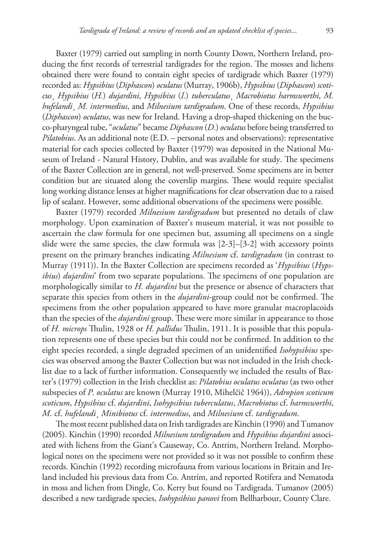Baxter (1979) carried out sampling in north County Down, Northern Ireland, producing the first records of terrestrial tardigrades for the region. The mosses and lichens obtained there were found to contain eight species of tardigrade which Baxter (1979) recorded as: *Hypsibius* (*Diphascon*) *oculatus* (Murray, 1906b), *Hypsibius* (*Diphascon*) *scoticus*¸ *Hypsibius* (*H.*) *dujardini*, *Hypsibius* (*I.*) *tuberculatus*¸ *Macrobiotus harmsworthi*, *M. hufelandi*¸ *M. intermedius*, and *Milnesium tardigradum*. One of these records, *Hypsibius* (*Diphascon*) *oculatus*, was new for Ireland. Having a drop-shaped thickening on the bucco-pharyngeal tube, "*oculatus*" became *Diphascon* (*D.*) *oculatus* before being transferred to *Pilatobius*. As an additional note (E.D. – personal notes and observations): representative material for each species collected by Baxter (1979) was deposited in the National Museum of Ireland - Natural History, Dublin, and was available for study. The specimens of the Baxter Collection are in general, not well-preserved. Some specimens are in better condition but are situated along the coverslip margins. These would require specialist long working distance lenses at higher magnifications for clear observation due to a raised lip of sealant. However, some additional observations of the specimens were possible.

Baxter (1979) recorded *Milnesium tardigradum* but presented no details of claw morphology. Upon examination of Baxter's museum material, it was not possible to ascertain the claw formula for one specimen but, assuming all specimens on a single slide were the same species, the claw formula was [2-3]–[3-2] with accessory points present on the primary branches indicating *Milnesium* cf. *tardigradum* (in contrast to Murray (1911)). In the Baxter Collection are specimens recorded as '*Hypsibius* (*Hypsibius*) *dujardini*' from two separate populations. The specimens of one population are morphologically similar to *H. dujardini* but the presence or absence of characters that separate this species from others in the *dujardini*-group could not be confirmed. The specimens from the other population appeared to have more granular macroplacoids than the species of the *dujardini* group. These were more similar in appearance to those of *H. microps* Thulin, 1928 or *H. pallidus* Thulin, 1911. It is possible that this population represents one of these species but this could not be confirmed. In addition to the eight species recorded, a single degraded specimen of an unidentified *Isohypsibius* species was observed among the Baxter Collection but was not included in the Irish checklist due to a lack of further information. Consequently we included the results of Baxter's (1979) collection in the Irish checklist as: *Pilatobius oculatus oculatus* (as two other subspecies of *P. oculatus* are known (Murray 1910, Mihelčič 1964)), *Adropion scoticum scoticum*, *Hypsibius* cf. *dujardini*, *Isohypsibius tuberculatus*, *Macrobiotus* cf. *harmsworthi*, *M*. cf. *hufelandi*¸ *Minibiotus* cf. *intermedius*, and *Milnesium* cf. *tardigradum*.

The most recent published data on Irish tardigrades are Kinchin (1990) and Tumanov (2005). Kinchin (1990) recorded *Milnesium tardigradum* and *Hypsibius dujardini* associated with lichens from the Giant's Causeway, Co. Antrim, Northern Ireland. Morphological notes on the specimens were not provided so it was not possible to confirm these records. Kinchin (1992) recording microfauna from various locations in Britain and Ireland included his previous data from Co. Antrim, and reported Rotifera and Nematoda in moss and lichen from Dingle, Co. Kerry but found no Tardigrada. Tumanov (2005) described a new tardigrade species, *Isohypsibius panovi* from Bellharbour, County Clare.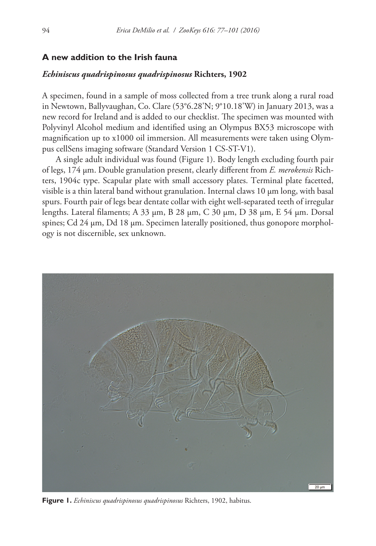# **A new addition to the Irish fauna**

## *Echiniscus quadrispinosus quadrispinosus* **Richters, 1902**

A specimen, found in a sample of moss collected from a tree trunk along a rural road in Newtown, Ballyvaughan, Co. Clare (53°6.28'N; 9°10.18'W) in January 2013, was a new record for Ireland and is added to our checklist. The specimen was mounted with Polyvinyl Alcohol medium and identified using an Olympus BX53 microscope with magnification up to x1000 oil immersion. All measurements were taken using Olympus cellSens imaging software (Standard Version 1 CS-ST-V1).

A single adult individual was found (Figure 1). Body length excluding fourth pair of legs, 174 µm. Double granulation present, clearly different from *E. merokensis* Richters, 1904c type. Scapular plate with small accessory plates. Terminal plate facetted, visible is a thin lateral band without granulation. Internal claws 10 µm long, with basal spurs. Fourth pair of legs bear dentate collar with eight well-separated teeth of irregular lengths. Lateral filaments; A 33 µm, B 28 µm, C 30 µm, D 38 µm, E 54 µm. Dorsal spines; Cd  $24 \mu m$ , Dd  $18 \mu m$ . Specimen laterally positioned, thus gonopore morphology is not discernible, sex unknown.



**Figure 1.** *Echiniscus quadrispinosus quadrispinosus* Richters, 1902, habitus.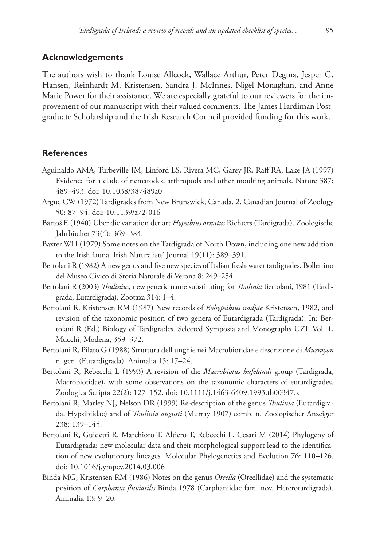# **Acknowledgements**

The authors wish to thank Louise Allcock, Wallace Arthur, Peter Degma, Jesper G. Hansen, Reinhardt M. Kristensen, Sandra J. McInnes, Nigel Monaghan, and Anne Marie Power for their assistance. We are especially grateful to our reviewers for the improvement of our manuscript with their valued comments. The James Hardiman Postgraduate Scholarship and the Irish Research Council provided funding for this work.

# **References**

- Aguinaldo AMA, Turbeville JM, Linford LS, Rivera MC, Garey JR, Raff RA, Lake JA (1997) Evidence for a clade of nematodes, arthropods and other moulting animals. Nature 387: 489–493. [doi: 10.1038/387489a0](http://dx.doi.org/10.1038/387489a0)
- Argue CW (1972) Tardigrades from New Brunswick, Canada. 2. Canadian Journal of Zoology 50: 87–94. [doi: 10.1139/z72-016](http://dx.doi.org/10.1139/z72-016)
- Bartoš E (1940) Über die variation der art *Hypsibius ornatus* Richters (Tardigrada). Zoologische Jahrbücher 73(4): 369–384.
- Baxter WH (1979) Some notes on the Tardigrada of North Down, including one new addition to the Irish fauna. Irish Naturalists' Journal 19(11): 389–391.
- Bertolani R (1982) A new genus and five new species of Italian fresh-water tardigrades. Bollettino del Museo Civico di Storia Naturale di Verona 8: 249–254.
- Bertolani R (2003) *Thulinius*, new generic name substituting for *Thulinia* Bertolani, 1981 (Tardigrada, Eutardigrada). Zootaxa 314: 1–4.
- Bertolani R, Kristensen RM (1987) New records of *Eohypsibius nadjae* Kristensen, 1982, and revision of the taxonomic position of two genera of Eutardigrada (Tardigrada). In: Bertolani R (Ed.) Biology of Tardigrades. Selected Symposia and Monographs UZI. Vol. 1, Mucchi, Modena, 359–372.
- Bertolani R, Pilato G (1988) Struttura dell unghie nei Macrobiotidae e descrizione di *Murrayon*  n. gen. (Eutardigrada). Animalia 15: 17–24.
- Bertolani R, Rebecchi L (1993) A revision of the *Macrobiotus hufelandi* group (Tardigrada, Macrobiotidae), with some observations on the taxonomic characters of eutardigrades. Zoologica Scripta 22(2): 127–152. [doi: 10.1111/j.1463-6409.1993.tb00347.x](http://dx.doi.org/10.1111/j.1463-6409.1993.tb00347.x)
- Bertolani R, Marley NJ, Nelson DR (1999) Re-description of the genus *Thulinia* (Eutardigrada, Hypsibiidae) and of *Thulinia augusti* (Murray 1907) comb. n. Zoologischer Anzeiger 238: 139–145.
- Bertolani R, Guidetti R, Marchioro T, Altiero T, Rebecchi L, Cesari M (2014) Phylogeny of Eutardigrada: new molecular data and their morphological support lead to the identification of new evolutionary lineages. Molecular Phylogenetics and Evolution 76: 110–126. [doi: 10.1016/j.ympev.2014.03.006](http://dx.doi.org/10.1016/j.ympev.2014.03.006)
- Binda MG, Kristensen RM (1986) Notes on the genus *Oreella* (Oreellidae) and the systematic position of *Carphania fluviatilis* Binda 1978 (Carphaniidae fam. nov. Heterotardigrada). Animalia 13: 9–20.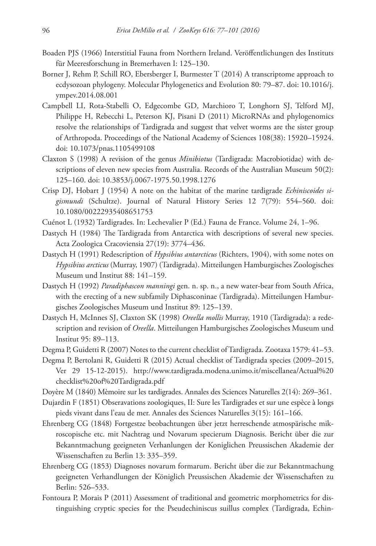- Boaden PJS (1966) Interstitial Fauna from Northern Ireland. Veröffentlichungen des Instituts für Meeresforschung in Bremerhaven I: 125–130.
- Borner J, Rehm P, Schill RO, Ebersberger I, Burmester T (2014) A transcriptome approach to ecdysozoan phylogeny. Molecular Phylogenetics and Evolution 80: 79–87. [doi: 10.1016/j.](http://dx.doi.org/10.1016/j.ympev.2014.08.001) [ympev.2014.08.001](http://dx.doi.org/10.1016/j.ympev.2014.08.001)
- Campbell LI, Rota-Stabelli O, Edgecombe GD, Marchioro T, Longhorn SJ, Telford MJ, Philippe H, Rebecchi L, Peterson KJ, Pisani D (2011) MicroRNAs and phylogenomics resolve the relationships of Tardigrada and suggest that velvet worms are the sister group of Arthropoda. Proceedings of the National Academy of Sciences 108(38): 15920–15924. [doi: 10.1073/pnas.1105499108](http://dx.doi.org/10.1073/pnas.1105499108)
- Claxton S (1998) A revision of the genus *Minibiotus* (Tardigrada: Macrobiotidae) with descriptions of eleven new species from Australia. Records of the Australian Museum 50(2): 125–160. [doi: 10.3853/j.0067-1975.50.1998.1276](http://dx.doi.org/10.3853/j.0067-1975.50.1998.1276)
- Crisp DJ, Hobart J (1954) A note on the habitat of the marine tardigrade *Echiniscoides sigismundi* (Schultze). Journal of Natural History Series 12 7(79): 554–560. [doi:](http://dx.doi.org/10.1080/00222935408651753) [10.1080/00222935408651753](http://dx.doi.org/10.1080/00222935408651753)
- Cuénot L (1932) Tardigrades. In: Lechevalier P (Ed.) Fauna de France. Volume 24, 1–96.
- Dastych H (1984) The Tardigrada from Antarctica with descriptions of several new species. Acta Zoologica Cracoviensia 27(19): 3774–436.
- Dastych H (1991) Redescription of *Hypsibius antarcticus* (Richters, 1904), with some notes on *Hypsibius arcticus* (Murray, 1907) (Tardigrada). Mitteilungen Hamburgisches Zoologisches Museum und Institut 88: 141–159.
- Dastych H (1992) *Paradiphascon manningi* gen. n. sp. n., a new water-bear from South Africa, with the erecting of a new subfamily Diphasconinae (Tardigrada). Mitteilungen Hamburgisches Zoologisches Museum und Institut 89: 125–139.
- Dastych H, McInnes SJ, Claxton SK (1998) *Oreella mollis* Murray, 1910 (Tardigrada): a redescription and revision of *Oreella*. Mitteilungen Hamburgisches Zoologisches Museum und Institut 95: 89–113.
- Degma P, Guidetti R (2007) Notes to the current checklist of Tardigrada. Zootaxa 1579: 41–53.
- Degma P, Bertolani R, Guidetti R (2015) Actual checklist of Tardigrada species (2009–2015, Ver 29 15-12-2015). [http://www.tardigrada.modena.unimo.it/miscellanea/Actual%20](http://www.tardigrada.modena.unimo.it/miscellanea/Actual%20checklist%20of%20Tardigrada.pdf) [checklist%20of%20Tardigrada.pdf](http://www.tardigrada.modena.unimo.it/miscellanea/Actual%20checklist%20of%20Tardigrada.pdf)
- Doyère M (1840) Mèmoire sur les tardigrades. Annales des Sciences Naturelles 2(14): 269–361.
- Dujardin F (1851) Obseravations zoologiques, II: Sure les Tardigrades et sur une espèce à longs pieds vivant dans l'eau de mer. Annales des Sciences Naturelles 3(15): 161–166.
- Ehrenberg CG (1848) Fortgestze beobachtungen über jetzt herreschende atmospärische mikroscopische etc. mit Nachtrag und Novarum specierum Diagnosis. Bericht über die zur Bekanntmachung geeigneten Verhanlungen der Koniglichen Preussischen Akademie der Wissenschaften zu Berlin 13: 335–359.
- Ehrenberg CG (1853) Diagnoses novarum formarum. Bericht über die zur Bekanntmachung geeigneten Verhandlungen der Königlich Preussischen Akademie der Wissenschaften zu Berlin: 526–533.
- Fontoura P, Morais P (2011) Assessment of traditional and geometric morphometrics for distinguishing cryptic species for the Pseudechiniscus suillus complex (Tardigrada, Echin-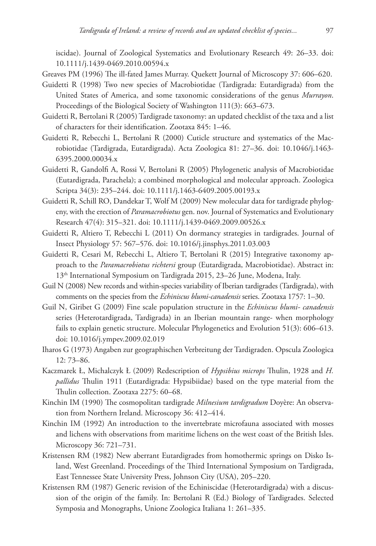iscidae). Journal of Zoological Systematics and Evolutionary Research 49: 26–33. [doi:](http://dx.doi.org/10.1111/j.1439-0469.2010.00594.x) [10.1111/j.1439-0469.2010.00594.x](http://dx.doi.org/10.1111/j.1439-0469.2010.00594.x)

- Greaves PM (1996) The ill-fated James Murray. Quekett Journal of Microscopy 37: 606–620.
- Guidetti R (1998) Two new species of Macrobiotidae (Tardigrada: Eutardigrada) from the United States of America, and some taxonomic considerations of the genus *Murrayon*. Proceedings of the Biological Society of Washington 111(3): 663–673.
- Guidetti R, Bertolani R (2005) Tardigrade taxonomy: an updated checklist of the taxa and a list of characters for their identification. Zootaxa 845: 1–46.
- Guidetti R, Rebecchi L, Bertolani R (2000) Cuticle structure and systematics of the Macrobiotidae (Tardigrada, Eutardigrada). Acta Zoologica 81: 27–36. [doi: 10.1046/j.1463-](http://dx.doi.org/10.1046/j.1463-6395.2000.00034.x) [6395.2000.00034.x](http://dx.doi.org/10.1046/j.1463-6395.2000.00034.x)
- Guidetti R, Gandolfi A, Rossi V, Bertolani R (2005) Phylogenetic analysis of Macrobiotidae (Eutardigrada, Parachela); a combined morphological and molecular approach. Zoologica Scripta 34(3): 235–244. [doi: 10.1111/j.1463-6409.2005.00193.x](http://dx.doi.org/10.1111/j.1463-6409.2005.00193.x)
- Guidetti R, Schill RO, Dandekar T, Wolf M (2009) New molecular data for tardigrade phylogeny, with the erection of *Paramacrobiotus* gen. nov. Journal of Systematics and Evolutionary Research 47(4): 315–321. [doi: 10.1111/j.1439-0469.2009.00526.x](http://dx.doi.org/10.1111/j.1439-0469.2009.00526.x)
- Guidetti R, Altiero T, Rebecchi L (2011) On dormancy strategies in tardigrades. Journal of Insect Physiology 57: 567–576. [doi: 10.1016/j.jinsphys.2011.03.003](http://dx.doi.org/10.1016/j.jinsphys.2011.03.003)
- Guidetti R, Cesari M, Rebecchi L, Altiero T, Bertolani R (2015) Integrative taxonomy approach to the *Paramacrobiotus richtersi* group (Eutardigrada, Macrobiotidae). Abstract in: 13th International Symposium on Tardigrada 2015, 23–26 June, Modena, Italy.
- Guil N (2008) New records and within-species variability of Iberian tardigrades (Tardigrada), with comments on the species from the *Echiniscus blumi-canadensis* series. Zootaxa 1757: 1–30.
- Guil N, Giribet G (2009) Fine scale population structure in the *Echiniscus blumi- canadensis* series (Heterotardigrada, Tardigrada) in an Iberian mountain range- when morphology fails to explain genetic structure. Molecular Phylogenetics and Evolution 51(3): 606–613. [doi: 10.1016/j.ympev.2009.02.019](http://dx.doi.org/10.1016/j.ympev.2009.02.019)
- Iharos G (1973) Angaben zur geographischen Verbreitung der Tardigraden. Opscula Zoologica 12: 73–86.
- Kaczmarek Ł, Michalczyk Ł (2009) Redescription of *Hypsibius microps* Thulin, 1928 and *H. pallidus* Thulin 1911 (Eutardigrada: Hypsibiidae) based on the type material from the Thulin collection. Zootaxa 2275: 60–68.
- Kinchin IM (1990) The cosmopolitan tardigrade *Milnesium tardigradum* Doyère: An observation from Northern Ireland. Microscopy 36: 412–414.
- Kinchin IM (1992) An introduction to the invertebrate microfauna associated with mosses and lichens with observations from maritime lichens on the west coast of the British Isles. Microscopy 36: 721–731.
- Kristensen RM (1982) New aberrant Eutardigrades from homothermic springs on Disko Island, West Greenland. Proceedings of the Third International Symposium on Tardigrada, East Tennessee State University Press, Johnson City (USA), 205–220.
- Kristensen RM (1987) Generic revision of the Echiniscidae (Heterotardigrada) with a discussion of the origin of the family. In: Bertolani R (Ed.) Biology of Tardigrades. Selected Symposia and Monographs, Unione Zoologica Italiana 1: 261–335.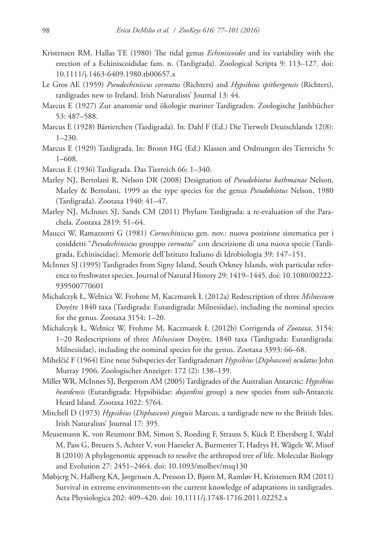- Kristensen RM, Hallas TE (1980) The tidal genus *Echiniscoides* and its variability with the erection of a Echiniscoididae fam. n. (Tardigrada). Zoological Scripta 9: 113–127. [doi:](http://dx.doi.org/10.1111/j.1463-6409.1980.tb00657.x) [10.1111/j.1463-6409.1980.tb00657.x](http://dx.doi.org/10.1111/j.1463-6409.1980.tb00657.x)
- Le Gros AE (1959) *Pseudechiniscus cornutus* (Richters) and *Hypsibius spitbergensis* (Richters), tardigrades new to Ireland. Irish Naturalists' Journal 13: 44.
- Marcus E (1927) Zur anatomie und ökologie mariner Tardigraden. Zoologische Janhbücher 53: 487–588.
- Marcus E (1928) Bärtierchen (Tardigrada). In: Dahl F (Ed.) Die Tierwelt Deutschlands 12(8): 1–230.
- Marcus E (1929) Tardigrada. In: Bronn HG (Ed.) Klassen and Ordnungen des Tierreichs 5: 1–608.
- Marcus E (1936) Tardigrada. Das Tierreich 66: 1–340.
- Marley NJ, Bertolani R, Nelson DR (2008) Designation of *Pseudobiotus kathmanae* Nelson, Marley & Bertolani, 1999 as the type species for the genus *Pseudobiotus* Nelson, 1980 (Tardigrada). Zootaxa 1940: 41–47.
- Marley NJ, McInnes SJ, Sands CM (2011) Phylum Tardigrada: a re-evaluation of the Parachela. Zootaxa 2819: 51–64.
- Maucci W, Ramazzotti G (1981) *Cornechiniscus* gen. nov.: nuova posizione sistematica per i cosiddetti "*Pseudechiniscus* grouppo *cornutus*" con descrizione di una nuova specie (Tardigrada, Echiniscidae). Memorie dell'Istituto Italiano di Idrobiologia 39: 147–151.
- McInnes SJ (1995) Tardigrades from Signy Island, South Orkney Islands, with particular reference to freshwater species. Journal of Natural History 29: 1419–1445. [doi: 10.1080/00222-](http://dx.doi.org/10.1080/00222%C2%AD939500770601) [939500770601](http://dx.doi.org/10.1080/00222%C2%AD939500770601)
- Michalczyk Ł, Wełnicz W, Frohme M, Kaczmarek Ł (2012a) Redescription of three *Milnesium* Doyére 1840 taxa (Tardigrada: Eutardigrada: Milnesiidae), including the nominal species for the genus. Zootaxa 3154: 1–20.
- Michalczyk Ł, Wełnicz W, Frohme M, Kaczmarek Ł (2012b) Corrigenda of *Zootaxa*, 3154: 1–20 Redescriptions of three *Milnesium* Doyère, 1840 taxa (Tardigrada: Eutardigrada: Milnesiidae), including the nominal species for the genus. Zootaxa 3393: 66–68.
- Mihelčič F (1964) Eine neue Subspecies der Tardigradenart *Hypsibius* (*Diphascon*) *oculatus* John Murray 1906. Zoologischer Anzeiger: 172 (2): 138–139.
- Miller WR, McInnes SJ, Bergstrom AM (2005) Tardigrades of the Australian Antarctic: *Hypsibius heardensis* (Eutardigrada: Hypsibiidae: *dujardini* group) a new species from sub-Antarctic Heard Island. Zootaxa 1022: 5764.
- Mitchell D (1973) *Hypsibius* (*Diphascon*) *pinguis* Marcus, a tardigrade new to the British Isles. Irish Naturalists' Journal 17: 395.
- Meusemann K, von Reumont BM, Simon S, Roeding F, Strauss S, Kück P, Ebersberg I, Walzl M, Pass G, Breuers S, Achter V, von Haeseler A, Burmester T, Hadrys H, Wägele W, Misof B (2010) A phylogenomic approach to resolve the arthropod tree of life. Molecular Biology and Evolution 27: 2451–2464. [doi: 10.1093/molbev/msq130](http://dx.doi.org/10.1093/molbev/msq130)
- Møbjerg N, Halberg KA, Jørgensen A, Presson D, Bjørn M, Ramløv H, Kristensen RM (2011) Survival in extreme environments-on the current knowledge of adaptations in tardigrades. Acta Physiologica 202: 409–420. [doi: 10.1111/j.1748-1716.2011.02252.x](http://dx.doi.org/10.1111/j.1748-1716.2011.02252.x)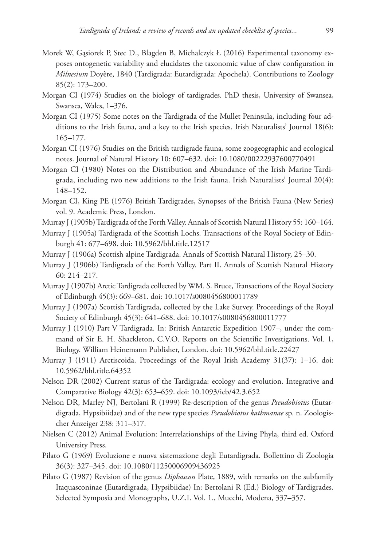- Morek W, Gąsiorek P, Stec D., Blagden B, Michalczyk Ł (2016) Experimental taxonomy exposes ontogenetic variability and elucidates the taxonomic value of claw configuration in *Milnesium* Doyère, 1840 (Tardigrada: Eutardigrada: Apochela). Contributions to Zoology 85(2): 173–200.
- Morgan CI (1974) Studies on the biology of tardigrades. PhD thesis, University of Swansea, Swansea, Wales, 1–376.
- Morgan CI (1975) Some notes on the Tardigrada of the Mullet Peninsula, including four additions to the Irish fauna, and a key to the Irish species. Irish Naturalists' Journal 18(6): 165–177.
- Morgan CI (1976) Studies on the British tardigrade fauna, some zoogeographic and ecological notes. Journal of Natural History 10: 607–632. [doi: 10.1080/00222937600770491](http://dx.doi.org/10.1080/00222937600770491)
- Morgan CI (1980) Notes on the Distribution and Abundance of the Irish Marine Tardigrada, including two new additions to the Irish fauna. Irish Naturalists' Journal 20(4): 148–152.
- Morgan CI, King PE (1976) British Tardigrades, Synopses of the British Fauna (New Series) vol. 9. Academic Press, London.
- Murray J (1905b) Tardigrada of the Forth Valley. Annals of Scottish Natural History 55: 160–164.
- Murray J (1905a) Tardigrada of the Scottish Lochs. Transactions of the Royal Society of Edinburgh 41: 677–698. [doi: 10.5962/bhl.title.12517](http://dx.doi.org/10.5962/bhl.title.12517)
- Murray J (1906a) Scottish alpine Tardigrada. Annals of Scottish Natural History, 25–30.
- Murray J (1906b) Tardigrada of the Forth Valley. Part II. Annals of Scottish Natural History 60: 214–217.
- Murray J (1907b) Arctic Tardigrada collected by WM. S. Bruce, Transactions of the Royal Society of Edinburgh 45(3): 669–681. [doi: 10.1017/s0080456800011789](http://dx.doi.org/10.1017/s0080456800011789)
- Murray J (1907a) Scottish Tardigrada, collected by the Lake Survey. Proceedings of the Royal Society of Edinburgh 45(3): 641–688. [doi: 10.1017/s0080456800011777](http://dx.doi.org/10.1017/s0080456800011777)
- Murray J (1910) Part V Tardigrada. In: British Antarctic Expedition 1907–, under the command of Sir E. H. Shackleton, C.V.O. Reports on the Scientific Investigations. Vol. 1, Biology. William Heinemann Publisher, London. [doi: 10.5962/bhl.title.22427](http://dx.doi.org/10.5962/bhl.title.22427)
- Murray J (1911) Arctiscoida. Proceedings of the Royal Irish Academy 31(37): 1–16. [doi:](http://dx.doi.org/10.5962/bhl.title.64352) [10.5962/bhl.title.64352](http://dx.doi.org/10.5962/bhl.title.64352)
- Nelson DR (2002) Current status of the Tardigrada: ecology and evolution. Integrative and Comparative Biology 42(3): 653–659. [doi: 10.1093/icb/42.3.652](http://dx.doi.org/10.1093/icb/42.3.652)
- Nelson DR, Marley NJ, Bertolani R (1999) Re-description of the genus *Pseudobiotus* (Eutardigrada, Hypsibiidae) and of the new type species *Pseudobiotus kathmanae* sp. n. Zoologischer Anzeiger 238: 311–317.
- Nielsen C (2012) Animal Evolution: Interrelationships of the Living Phyla, third ed. Oxford University Press.
- Pilato G (1969) Evoluzione e nuova sistemazione degli Eutardigrada. Bollettino di Zoologia 36(3): 327–345. [doi: 10.1080/11250006909436925](http://dx.doi.org/10.1080/11250006909436925)
- Pilato G (1987) Revision of the genus *Diphascon* Plate, 1889, with remarks on the subfamily Itaquasconinae (Eutardigrada, Hypsibiidae) In: Bertolani R (Ed.) Biology of Tardigrades. Selected Symposia and Monographs, U.Z.I. Vol. 1., Mucchi, Modena, 337–357.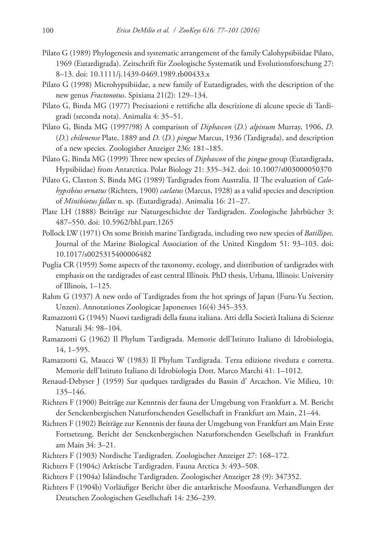- Pilato G (1989) Phylogenesis and systematic arrangement of the family Calohypsibiidae Pilato, 1969 (Eutardigrada). Zeitschrift für Zoologische Systematik und Evolutionsforschung 27: 8–13. [doi: 10.1111/j.1439-0469.1989.tb00433.x](http://dx.doi.org/10.1111/j.1439-0469.1989.tb00433.x)
- Pilato G (1998) Microhypsibiidae, a new family of Eutardigrades, with the description of the new genus *Fractonotus*. Spixiana 21(2): 129–134.
- Pilato G, Binda MG (1977) Precisazioni e rettifiche alla descrizione di alcune specie di Tardigradi (seconda nota). Animalia 4: 35–51.
- Pilato G, Binda MG (1997/98) A comparison of *Diphascon* (*D.*) *alpinum* Murray, 1906, *D.* (*D.*) *chilenense* Plate, 1889 and *D.* (*D.*) *pingue* Marcus, 1936 (Tardigrada), and description of a new species. Zoologisher Anzeiger 236: 181–185.
- Pilato G, Binda MG (1999) Three new species of *Diphascon* of the *pingue* group (Eutardigrada, Hypsibiidae) from Antarctica. Polar Biology 21: 335–342. [doi: 10.1007/s003000050370](http://dx.doi.org/10.1007/s003000050370)
- Pilato G, Claxton S, Binda MG (1989) Tardigrades from Australia. II The evaluation of *Calohypsibius ornatus* (Richters, 1900) *caelatus* (Marcus, 1928) as a valid species and description of *Minibiotus fallax* n. sp. (Eutardigrada). Animalia 16: 21–27.
- Plate LH (1888) Beiträge zur Naturgeschichte der Tardigraden. Zoologische Jahrbücher 3: 487–550. [doi: 10.5962/bhl.part.1265](http://dx.doi.org/10.5962/bhl.part.1265)
- Pollock LW (1971) On some British marine Tardigrada, including two new species of *Batillipes*. Journal of the Marine Biological Association of the United Kingdom 51: 93–103. [doi:](http://dx.doi.org/10.1017/s0025315400006482) [10.1017/s0025315400006482](http://dx.doi.org/10.1017/s0025315400006482)
- Puglia CR (1959) Some aspects of the taxonomy, ecology, and distribution of tardigrades with emphasis on the tardigrades of east central Illinois. PhD thesis, Urbana, Illinois: University of Illinois, 1–125.
- Rahm G (1937) A new ordo of Tardigrades from the hot springs of Japan (Furu-Yu Section, Unzen). Annotationes Zoologicae Japonenses 16(4) 345–353.
- Ramazzotti G (1945) Nuovi tardigradi della fauna italiana. Atti della Società Italiana di Scienze Naturali 34: 98–104.
- Ramazzotti G (1962) Il Phylum Tardigrada. Memorie dell'Istituto Italiano di Idrobiologia, 14, 1–595.
- Ramazzotti G, Maucci W (1983) Il Phylum Tardigrada. Terza edizione riveduta e corretta. Memorie dell'Istituto Italiano di Idrobiologia Dott. Marco Marchi 41: 1–1012.
- Renaud-Debyser J (1959) Sur quelques tardigrades du Bassin d' Arcachon. Vie Milieu, 10: 135–146.
- Richters F (1900) Beiträge zur Kenntnis der fauna der Umgebung von Frankfurt a. M. Bericht der Senckenbergischen Naturforschenden Gesellschaft in Frankfurt am Main, 21–44.
- Richters F (1902) Beiträge zur Kenntnis der fauna der Umgebung von Frankfurt am Main Erste Fortsetzung. Bericht der Senckenbergischen Naturforschenden Gesellschaft in Frankfurt am Main 34: 3–21.
- Richters F (1903) Nordische Tardigraden. Zoologischer Anzeiger 27: 168–172.
- Richters F (1904c) Arktische Tardigraden. Fauna Arctica 3: 493–508.
- Richters F (1904a) Isländische Tardigraden. Zoologischer Anzeiger 28 (9): 347352.
- Richters F (1904b) Vorläufiger Bericht über die antarktische Moosfauna. Verhandlungen der Deutschen Zoologischen Gesellschaft 14: 236–239.